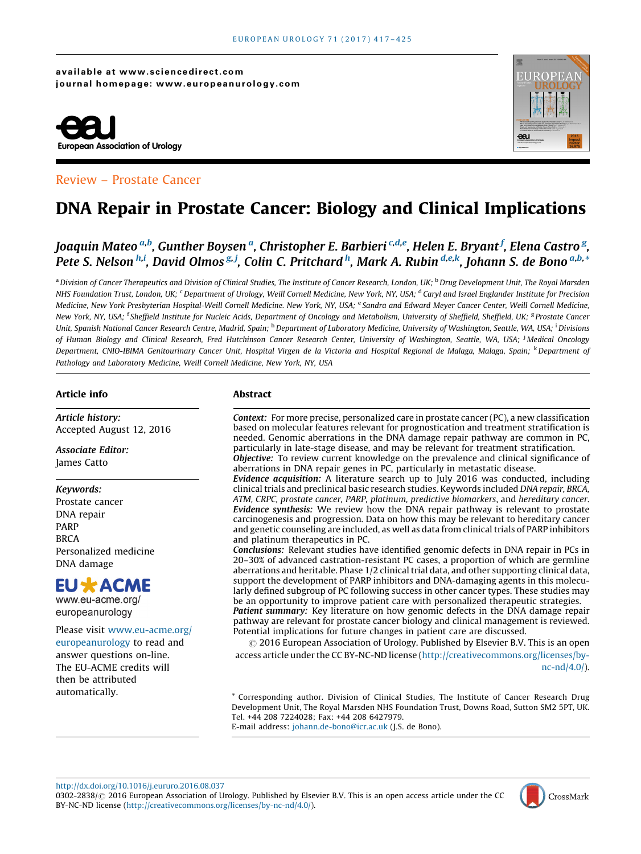#### available at www.sciencedirect.com journal homepage: www.europeanurology.com



### Review – Prostate Cancer



# DNA Repair in Prostate Cancer: Biology and Clinical Implications

## Joaquin Mateo <sup>a,b</sup>, Gunther Boysen <sup>a</sup>, Christopher E. Barbieri <sup>c,d,e</sup>, Helen E. Bryant <sup>f</sup>, Elena Castro <sup>g</sup>, Pete S. Nelson <sup>h,i</sup>, David Olmos <sup>g, j</sup>, Colin C. Pritchard <sup>h</sup>, Mark A. Rubin <sup>d,e,k</sup>, Johann S. de Bono <sup>a,b,</sup>\*

<sup>a</sup> Division of Cancer Therapeutics and Division of Clinical Studies, The Institute of Cancer Research, London, UK; <sup>b</sup> Drug Development Unit, The Royal Marsden NHS Foundation Trust, London, UK; <sup>c</sup> Department of Urology, Weill Cornell Medicine, New York, NY, USA; <sup>d</sup> Caryl and Israel Englander Institute for Precision Medicine, New York Presbyterian Hospital-Weill Cornell Medicine. New York, NY, USA; <sup>e</sup> Sandra and Edward Meyer Cancer Center, Weill Cornell Medicine, New York, NY, USA; <sup>t</sup> Sheffield Institute for Nucleic Acids, Department of Oncology and Metabolism, University of Sheffield, Sheffield, UK; <sup>g</sup> Prostate Cancer Unit, Spanish National Cancer Research Centre, Madrid, Spain; <sup>h</sup> Department of Laboratory Medicine, University of Washington, Seattle, WA, USA; <sup>i</sup> Divisions of Human Biology and Clinical Research, Fred Hutchinson Cancer Research Center, University of Washington, Seattle, WA, USA; <sup>i</sup>Medical Oncology Department, CNIO-IBIMA Genitourinary Cancer Unit, Hospital Virgen de la Victoria and Hospital Regional de Malaga, Malaga, Spain; <sup>k</sup>Department of Pathology and Laboratory Medicine, Weill Cornell Medicine, New York, NY, USA

#### Article info

Article history: Accepted August 12, 2016

Associate Editor: James Catto

#### Keywords:

Prostate cancer DNA repair PARP **BRCA** Personalized medicine DNA damage

## **EU \* ACME**

www.eu-acme.org/ europeanurology

## Please visit [www.eu-acme.org/](http://www.eu-acme.org/europeanurology) [europeanurology](http://www.eu-acme.org/europeanurology) to read and answer questions on-line. The EU-ACME credits will

then be attributed automatically.

#### Abstract

Context: For more precise, personalized care in prostate cancer (PC), a new classification based on molecular features relevant for prognostication and treatment stratification is needed. Genomic aberrations in the DNA damage repair pathway are common in PC, particularly in late-stage disease, and may be relevant for treatment stratification. Objective: To review current knowledge on the prevalence and clinical significance of aberrations in DNA repair genes in PC, particularly in metastatic disease.

Evidence acquisition: A literature search up to July 2016 was conducted, including clinical trials and preclinical basic research studies. Keywords included DNA repair, BRCA, ATM, CRPC, prostate cancer, PARP, platinum, predictive biomarkers, and hereditary cancer. Evidence synthesis: We review how the DNA repair pathway is relevant to prostate carcinogenesis and progression. Data on how this may be relevant to hereditary cancer and genetic counseling are included, as well as data from clinical trials of PARP inhibitors and platinum therapeutics in PC.

Conclusions: Relevant studies have identified genomic defects in DNA repair in PCs in 20–30% of advanced castration-resistant PC cases, a proportion of which are germline aberrations and heritable. Phase 1/2 clinical trial data, and other supporting clinical data, support the development of PARP inhibitors and DNA-damaging agents in this molecularly defined subgroup of PC following success in other cancer types. These studies may be an opportunity to improve patient care with personalized therapeutic strategies. Patient summary: Key literature on how genomic defects in the DNA damage repair pathway are relevant for prostate cancer biology and clinical management is reviewed. Potential implications for future changes in patient care are discussed.

 $\odot$  2016 European Association of Urology. Published by Elsevier B.V. This is an open access article under the CC BY-NC-ND license [\(http://creativecommons.org/licenses/by](http://creativecommons.org/licenses/by-nc-nd/4.0/)[nc-nd/4.0/](http://creativecommons.org/licenses/by-nc-nd/4.0/)).

\* Corresponding author. Division of Clinical Studies, The Institute of Cancer Research Drug Development Unit, The Royal Marsden NHS Foundation Trust, Downs Road, Sutton SM2 5PT, UK. Tel. +44 208 7224028; Fax: +44 208 6427979.

E-mail address: [johann.de-bono@icr.ac.uk](mailto:johann.de-bono@icr.ac.uk) (J.S. de Bono).

<http://dx.doi.org/10.1016/j.eururo.2016.08.037>

0302-2838/ 2016 European Association of Urology. Published by Elsevier B.V. This is an open access article under the CC BY-NC-ND license ([http://creativecommons.org/licenses/by-nc-nd/4.0/\)](http://creativecommons.org/licenses/by-nc-nd/4.0/).

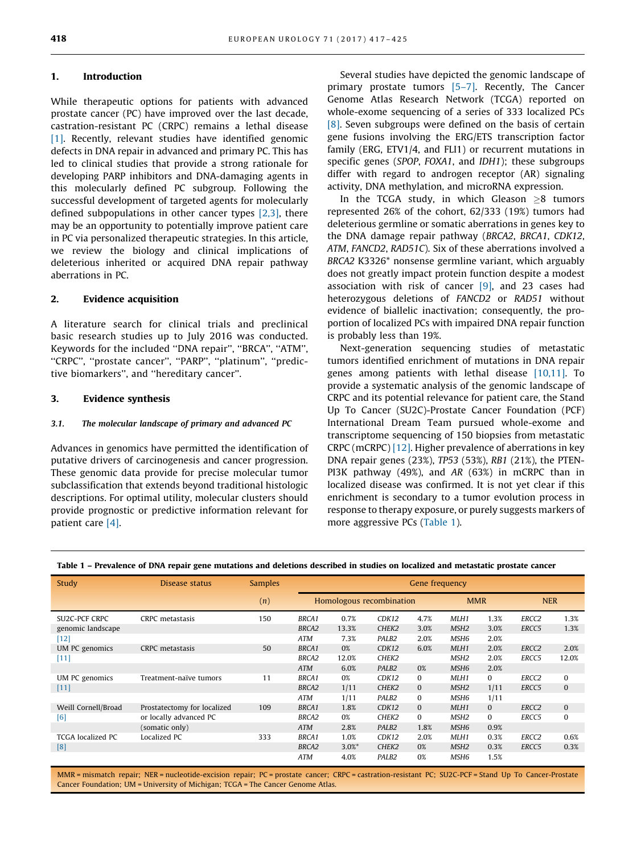#### 1. Introduction

While therapeutic options for patients with advanced prostate cancer (PC) have improved over the last decade, castration-resistant PC (CRPC) remains a lethal disease [\[1\].](#page-7-0) Recently, relevant studies have identified genomic defects in DNA repair in advanced and primary PC. This has led to clinical studies that provide a strong rationale for developing PARP inhibitors and DNA-damaging agents in this molecularly defined PC subgroup. Following the successful development of targeted agents for molecularly defined subpopulations in other cancer types [\[2,3\]](#page-7-0), there may be an opportunity to potentially improve patient care in PC via personalized therapeutic strategies. In this article, we review the biology and clinical implications of deleterious inherited or acquired DNA repair pathway aberrations in PC.

#### 2. Evidence acquisition

A literature search for clinical trials and preclinical basic research studies up to July 2016 was conducted. Keywords for the included ''DNA repair'', ''BRCA'', ''ATM'', ''CRPC'', ''prostate cancer'', ''PARP'', ''platinum'', ''predictive biomarkers'', and ''hereditary cancer''.

#### 3. Evidence synthesis

#### 3.1. The molecular landscape of primary and advanced PC

Advances in genomics have permitted the identification of putative drivers of carcinogenesis and cancer progression. These genomic data provide for precise molecular tumor subclassification that extends beyond traditional histologic descriptions. For optimal utility, molecular clusters should provide prognostic or predictive information relevant for patient care [\[4\].](#page-7-0)

Several studies have depicted the genomic landscape of primary prostate tumors [\[5–7\].](#page-7-0) Recently, The Cancer Genome Atlas Research Network (TCGA) reported on whole-exome sequencing of a series of 333 localized PCs [\[8\].](#page-7-0) Seven subgroups were defined on the basis of certain gene fusions involving the ERG/ETS transcription factor family (ERG, ETV1/4, and FLI1) or recurrent mutations in specific genes (SPOP, FOXA1, and IDH1); these subgroups differ with regard to androgen receptor (AR) signaling activity, DNA methylation, and microRNA expression.

In the TCGA study, in which Gleason  $\geq 8$  tumors represented 26% of the cohort, 62/333 (19%) tumors had deleterious germline or somatic aberrations in genes key to the DNA damage repair pathway (BRCA2, BRCA1, CDK12, ATM, FANCD2, RAD51C). Six of these aberrations involved a BRCA2 K3326\* nonsense germline variant, which arguably does not greatly impact protein function despite a modest association with risk of cancer  $[9]$ , and 23 cases had heterozygous deletions of FANCD2 or RAD51 without evidence of biallelic inactivation; consequently, the proportion of localized PCs with impaired DNA repair function is probably less than 19%.

Next-generation sequencing studies of metastatic tumors identified enrichment of mutations in DNA repair genes among patients with lethal disease [\[10,11\]](#page-7-0). To provide a systematic analysis of the genomic landscape of CRPC and its potential relevance for patient care, the Stand Up To Cancer (SU2C)-Prostate Cancer Foundation (PCF) International Dream Team pursued whole-exome and transcriptome sequencing of 150 biopsies from metastatic CRPC (mCRPC) [\[12\].](#page-7-0) Higher prevalence of aberrations in key DNA repair genes (23%), TP53 (53%), RB1 (21%), the PTEN-PI3K pathway (49%), and AR (63%) in mCRPC than in localized disease was confirmed. It is not yet clear if this enrichment is secondary to a tumor evolution process in response to therapy exposure, or purely suggests markers of more aggressive PCs (Table 1).

| Study                    | Disease status              | <b>Samples</b> | <b>Gene frequency</b>    |          |                   |              |                  |              |                   |              |
|--------------------------|-----------------------------|----------------|--------------------------|----------|-------------------|--------------|------------------|--------------|-------------------|--------------|
|                          |                             | (n)            | Homologous recombination |          |                   | <b>MMR</b>   |                  | <b>NER</b>   |                   |              |
| <b>SU2C-PCF CRPC</b>     | CRPC metastasis             | 150            | <b>BRCA1</b>             | 0.7%     | CDK12             | 4.7%         | MLH1             | 1.3%         | ERCC <sub>2</sub> | 1.3%         |
| genomic landscape        |                             |                | <b>BRCA2</b>             | 13.3%    | CHEK2             | 3.0%         | MSH <sub>2</sub> | 3.0%         | ERCC5             | 1.3%         |
| $[12]$                   |                             |                | <b>ATM</b>               | 7.3%     | PALB <sub>2</sub> | 2.0%         | MSH <sub>6</sub> | 2.0%         |                   |              |
| UM PC genomics           | CRPC metastasis             | 50             | <b>BRCA1</b>             | 0%       | CDK12             | 6.0%         | MLH1             | 2.0%         | ERCC <sub>2</sub> | 2.0%         |
| $[11]$                   |                             |                | <b>BRCA2</b>             | 12.0%    | CHEK <sub>2</sub> |              | MSH <sub>2</sub> | 2.0%         | ERCC5             | 12.0%        |
|                          |                             |                | <b>ATM</b>               | 6.0%     | PALB <sub>2</sub> | 0%           | MSH <sub>6</sub> | 2.0%         |                   |              |
| UM PC genomics           | Treatment-naïve tumors      | 11             | <b>BRCA1</b>             | 0%       | CDK12             | 0            | MLH1             | $\bf{0}$     | ERCC <sub>2</sub> | $\bf{0}$     |
| $[11]$                   |                             |                | <b>BRCA2</b>             | 1/11     | CHEK2             | $\mathbf{0}$ | MSH <sub>2</sub> | 1/11         | ERCC5             | $\mathbf{0}$ |
|                          |                             |                | <b>ATM</b>               | 1/11     | PALB <sub>2</sub> | 0            | MSH <sub>6</sub> | 1/11         |                   |              |
| Weill Cornell/Broad      | Prostatectomy for localized | 109            | <b>BRCA1</b>             | 1.8%     | CDK12             | $\mathbf{0}$ | MLH1             | $\mathbf{0}$ | ERCC <sub>2</sub> | $\mathbf{0}$ |
| [6]                      | or locally advanced PC      |                | <b>BRCA2</b>             | 0%       | CHEK2             | $\mathbf{0}$ | MSH <sub>2</sub> | $\bf{0}$     | ERCC5             | $\bf{0}$     |
|                          | (somatic only)              |                | <b>ATM</b>               | 2.8%     | PALB <sub>2</sub> | 1.8%         | MSH <sub>6</sub> | 0.9%         |                   |              |
| <b>TCGA</b> localized PC | Localized PC                | 333            | <b>BRCA1</b>             | 1.0%     | CDK12             | 2.0%         | MLH1             | 0.3%         | ERCC <sub>2</sub> | 0.6%         |
| [8]                      |                             |                | <b>BRCA2</b>             | $3.0%$ * | CHEK2             | 0%           | MSH <sub>2</sub> | 0.3%         | ERCC5             | 0.3%         |
|                          |                             |                | <b>ATM</b>               | 4.0%     | PALB <sub>2</sub> | 0%           | MSH <sub>6</sub> | 1.5%         |                   |              |

Table 1 – Prevalence of DNA repair gene mutations and deletions described in studies on localized and metastatic prostate cancer

MMR = mismatch repair; NER = nucleotide-excision repair; PC = prostate cancer; CRPC = castration-resistant PC; SU2C-PCF = Stand Up To Cancer-Prostate Cancer Foundation; UM = University of Michigan; TCGA = The Cancer Genome Atlas.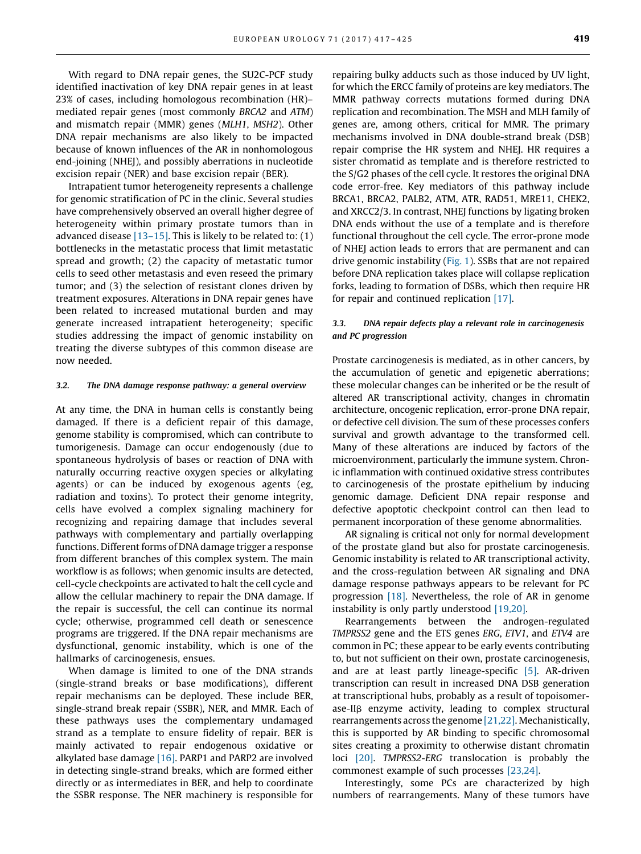With regard to DNA repair genes, the SU2C-PCF study identified inactivation of key DNA repair genes in at least 23% of cases, including homologous recombination (HR)– mediated repair genes (most commonly BRCA2 and ATM) and mismatch repair (MMR) genes (MLH1, MSH2). Other DNA repair mechanisms are also likely to be impacted because of known influences of the AR in nonhomologous end-joining (NHEJ), and possibly aberrations in nucleotide excision repair (NER) and base excision repair (BER).

Intrapatient tumor heterogeneity represents a challenge for genomic stratification of PC in the clinic. Several studies have comprehensively observed an overall higher degree of heterogeneity within primary prostate tumors than in advanced disease  $[13-15]$ . This is likely to be related to:  $(1)$ bottlenecks in the metastatic process that limit metastatic spread and growth; (2) the capacity of metastatic tumor cells to seed other metastasis and even reseed the primary tumor; and (3) the selection of resistant clones driven by treatment exposures. Alterations in DNA repair genes have been related to increased mutational burden and may generate increased intrapatient heterogeneity; specific studies addressing the impact of genomic instability on treating the diverse subtypes of this common disease are now needed.

#### 3.2. The DNA damage response pathway: a general overview

At any time, the DNA in human cells is constantly being damaged. If there is a deficient repair of this damage, genome stability is compromised, which can contribute to tumorigenesis. Damage can occur endogenously (due to spontaneous hydrolysis of bases or reaction of DNA with naturally occurring reactive oxygen species or alkylating agents) or can be induced by exogenous agents (eg, radiation and toxins). To protect their genome integrity, cells have evolved a complex signaling machinery for recognizing and repairing damage that includes several pathways with complementary and partially overlapping functions. Different forms of DNA damage trigger a response from different branches of this complex system. The main workflow is as follows; when genomic insults are detected, cell-cycle checkpoints are activated to halt the cell cycle and allow the cellular machinery to repair the DNA damage. If the repair is successful, the cell can continue its normal cycle; otherwise, programmed cell death or senescence programs are triggered. If the DNA repair mechanisms are dysfunctional, genomic instability, which is one of the hallmarks of carcinogenesis, ensues.

When damage is limited to one of the DNA strands (single-strand breaks or base modifications), different repair mechanisms can be deployed. These include BER, single-strand break repair (SSBR), NER, and MMR. Each of these pathways uses the complementary undamaged strand as a template to ensure fidelity of repair. BER is mainly activated to repair endogenous oxidative or alkylated base damage [\[16\].](#page-7-0) PARP1 and PARP2 are involved in detecting single-strand breaks, which are formed either directly or as intermediates in BER, and help to coordinate the SSBR response. The NER machinery is responsible for

repairing bulky adducts such as those induced by UV light, for which the ERCC family of proteins are key mediators. The MMR pathway corrects mutations formed during DNA replication and recombination. The MSH and MLH family of genes are, among others, critical for MMR. The primary mechanisms involved in DNA double-strand break (DSB) repair comprise the HR system and NHEJ. HR requires a sister chromatid as template and is therefore restricted to the S/G2 phases of the cell cycle. It restores the original DNA code error-free. Key mediators of this pathway include BRCA1, BRCA2, PALB2, ATM, ATR, RAD51, MRE11, CHEK2, and XRCC2/3. In contrast, NHEJ functions by ligating broken DNA ends without the use of a template and is therefore functional throughout the cell cycle. The error-prone mode of NHEJ action leads to errors that are permanent and can drive genomic instability [\(Fig. 1\)](#page-3-0). SSBs that are not repaired before DNA replication takes place will collapse replication forks, leading to formation of DSBs, which then require HR for repair and continued replication [\[17\].](#page-7-0)

#### 3.3. DNA repair defects play a relevant role in carcinogenesis and PC progression

Prostate carcinogenesis is mediated, as in other cancers, by the accumulation of genetic and epigenetic aberrations; these molecular changes can be inherited or be the result of altered AR transcriptional activity, changes in chromatin architecture, oncogenic replication, error-prone DNA repair, or defective cell division. The sum of these processes confers survival and growth advantage to the transformed cell. Many of these alterations are induced by factors of the microenvironment, particularly the immune system. Chronic inflammation with continued oxidative stress contributes to carcinogenesis of the prostate epithelium by inducing genomic damage. Deficient DNA repair response and defective apoptotic checkpoint control can then lead to permanent incorporation of these genome abnormalities.

AR signaling is critical not only for normal development of the prostate gland but also for prostate carcinogenesis. Genomic instability is related to AR transcriptional activity, and the cross-regulation between AR signaling and DNA damage response pathways appears to be relevant for PC progression [\[18\].](#page-7-0) Nevertheless, the role of AR in genome instability is only partly understood [\[19,20\]](#page-7-0).

Rearrangements between the androgen-regulated TMPRSS2 gene and the ETS genes ERG, ETV1, and ETV4 are common in PC; these appear to be early events contributing to, but not sufficient on their own, prostate carcinogenesis, and are at least partly lineage-specific [\[5\].](#page-7-0) AR-driven transcription can result in increased DNA DSB generation at transcriptional hubs, probably as a result of topoisomer $ase-IIB$  enzyme activity, leading to complex structural rearrangements across the genome [\[21,22\].](#page-7-0) Mechanistically, this is supported by AR binding to specific chromosomal sites creating a proximity to otherwise distant chromatin loci [\[20\].](#page-7-0) TMPRSS2-ERG translocation is probably the commonest example of such processes [\[23,24\]](#page-7-0).

Interestingly, some PCs are characterized by high numbers of rearrangements. Many of these tumors have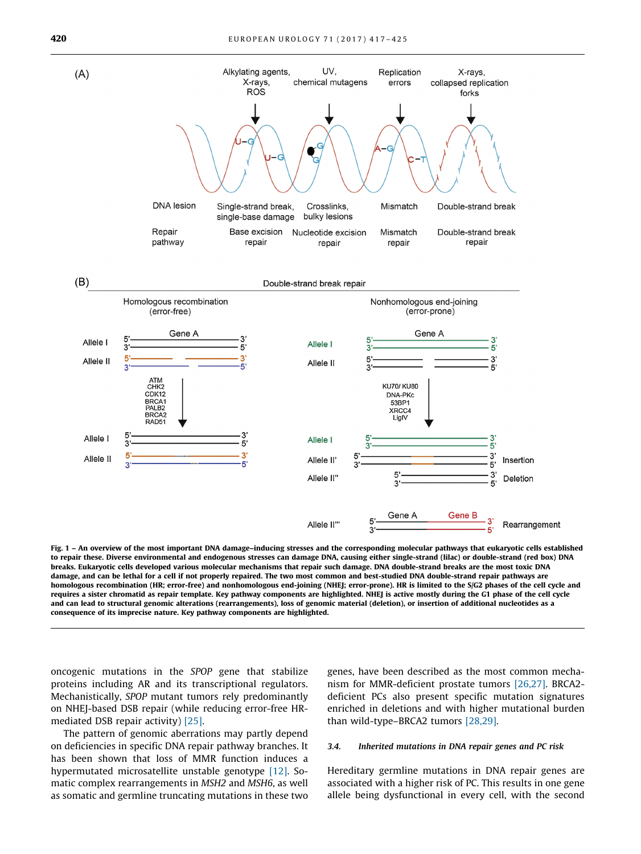<span id="page-3-0"></span>

Fig. 1 – An overview of the most important DNA damage–inducing stresses and the corresponding molecular pathways that eukaryotic cells established to repair these. Diverse environmental and endogenous stresses can damage DNA, causing either single-strand (lilac) or double-strand (red box) DNA breaks. Eukaryotic cells developed various molecular mechanisms that repair such damage. DNA double-strand breaks are the most toxic DNA damage, and can be lethal for a cell if not properly repaired. The two most common and best-studied DNA double-strand repair pathways are homologous recombination (HR; error-free) and nonhomologous end-joining (NHEJ; error-prone). HR is limited to the S/G2 phases of the cell cycle and requires a sister chromatid as repair template. Key pathway components are highlighted. NHEJ is active mostly during the G1 phase of the cell cycle and can lead to structural genomic alterations (rearrangements), loss of genomic material (deletion), or insertion of additional nucleotides as a consequence of its imprecise nature. Key pathway components are highlighted.

oncogenic mutations in the SPOP gene that stabilize proteins including AR and its transcriptional regulators. Mechanistically, SPOP mutant tumors rely predominantly on NHEJ-based DSB repair (while reducing error-free HRmediated DSB repair activity) [\[25\].](#page-7-0)

The pattern of genomic aberrations may partly depend on deficiencies in specific DNA repair pathway branches. It has been shown that loss of MMR function induces a hypermutated microsatellite unstable genotype [\[12\].](#page-7-0) Somatic complex rearrangements in MSH2 and MSH6, as well as somatic and germline truncating mutations in these two genes, have been described as the most common mechanism for MMR-deficient prostate tumors [\[26,27\]](#page-7-0). BRCA2 deficient PCs also present specific mutation signatures enriched in deletions and with higher mutational burden than wild-type–BRCA2 tumors [\[28,29\]](#page-7-0).

#### 3.4. Inherited mutations in DNA repair genes and PC risk

Hereditary germline mutations in DNA repair genes are associated with a higher risk of PC. This results in one gene allele being dysfunctional in every cell, with the second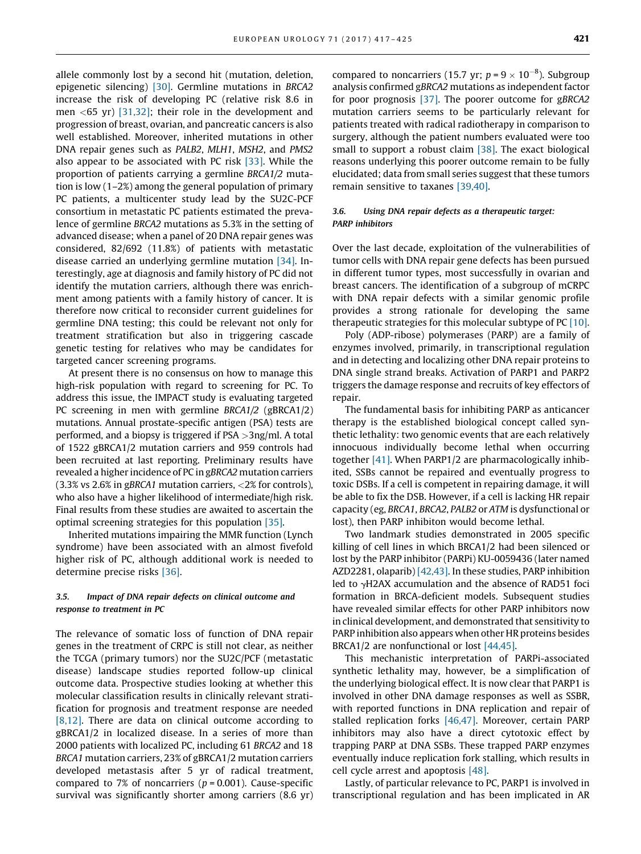allele commonly lost by a second hit (mutation, deletion, epigenetic silencing) [\[30\].](#page-7-0) Germline mutations in BRCA2 increase the risk of developing PC (relative risk 8.6 in men  $\langle 65 \text{ yr} \rangle$  [\[31,32\]](#page-7-0); their role in the development and progression of breast, ovarian, and pancreatic cancers is also well established. Moreover, inherited mutations in other DNA repair genes such as PALB2, MLH1, MSH2, and PMS2 also appear to be associated with PC risk [\[33\]](#page-7-0). While the proportion of patients carrying a germline BRCA1/2 mutation is low (1–2%) among the general population of primary PC patients, a multicenter study lead by the SU2C-PCF consortium in metastatic PC patients estimated the prevalence of germline BRCA2 mutations as 5.3% in the setting of advanced disease; when a panel of 20 DNA repair genes was considered, 82/692 (11.8%) of patients with metastatic disease carried an underlying germline mutation [\[34\].](#page-7-0) Interestingly, age at diagnosis and family history of PC did not identify the mutation carriers, although there was enrichment among patients with a family history of cancer. It is therefore now critical to reconsider current guidelines for germline DNA testing; this could be relevant not only for treatment stratification but also in triggering cascade genetic testing for relatives who may be candidates for targeted cancer screening programs.

At present there is no consensus on how to manage this high-risk population with regard to screening for PC. To address this issue, the IMPACT study is evaluating targeted PC screening in men with germline BRCA1/2 (gBRCA1/2) mutations. Annual prostate-specific antigen (PSA) tests are performed, and a biopsy is triggered if PSA >3ng/ml. A total of 1522 gBRCA1/2 mutation carriers and 959 controls had been recruited at last reporting. Preliminary results have revealed a higher incidence of PC in gBRCA2 mutation carriers (3.3% vs 2.6% in gBRCA1 mutation carriers, <2% for controls), who also have a higher likelihood of intermediate/high risk. Final results from these studies are awaited to ascertain the optimal screening strategies for this population [\[35\].](#page-7-0)

Inherited mutations impairing the MMR function (Lynch syndrome) have been associated with an almost fivefold higher risk of PC, although additional work is needed to determine precise risks [\[36\]](#page-8-0).

#### 3.5. Impact of DNA repair defects on clinical outcome and response to treatment in PC

The relevance of somatic loss of function of DNA repair genes in the treatment of CRPC is still not clear, as neither the TCGA (primary tumors) nor the SU2C/PCF (metastatic disease) landscape studies reported follow-up clinical outcome data. Prospective studies looking at whether this molecular classification results in clinically relevant stratification for prognosis and treatment response are needed [\[8,12\].](#page-7-0) There are data on clinical outcome according to gBRCA1/2 in localized disease. In a series of more than 2000 patients with localized PC, including 61 BRCA2 and 18 BRCA1 mutation carriers, 23% of gBRCA1/2 mutation carriers developed metastasis after 5 yr of radical treatment, compared to 7% of noncarriers ( $p = 0.001$ ). Cause-specific survival was significantly shorter among carriers (8.6 yr)

compared to noncarriers (15.7 yr;  $p = 9 \times 10^{-8}$ ). Subgroup analysis confirmed gBRCA2 mutations as independent factor for poor prognosis [\[37\]](#page-8-0). The poorer outcome for gBRCA2 mutation carriers seems to be particularly relevant for patients treated with radical radiotherapy in comparison to surgery, although the patient numbers evaluated were too small to support a robust claim [\[38\]](#page-8-0). The exact biological reasons underlying this poorer outcome remain to be fully elucidated; data from small series suggest that these tumors remain sensitive to taxanes [\[39,40\].](#page-8-0)

#### 3.6. Using DNA repair defects as a therapeutic target: PARP inhibitors

Over the last decade, exploitation of the vulnerabilities of tumor cells with DNA repair gene defects has been pursued in different tumor types, most successfully in ovarian and breast cancers. The identification of a subgroup of mCRPC with DNA repair defects with a similar genomic profile provides a strong rationale for developing the same therapeutic strategies for this molecular subtype of PC [\[10\].](#page-7-0)

Poly (ADP-ribose) polymerases (PARP) are a family of enzymes involved, primarily, in transcriptional regulation and in detecting and localizing other DNA repair proteins to DNA single strand breaks. Activation of PARP1 and PARP2 triggers the damage response and recruits of key effectors of repair.

The fundamental basis for inhibiting PARP as anticancer therapy is the established biological concept called synthetic lethality: two genomic events that are each relatively innocuous individually become lethal when occurring together [\[41\]](#page-8-0). When PARP1/2 are pharmacologically inhibited, SSBs cannot be repaired and eventually progress to toxic DSBs. If a cell is competent in repairing damage, it will be able to fix the DSB. However, if a cell is lacking HR repair capacity (eg, BRCA1, BRCA2, PALB2 or ATM is dysfunctional or lost), then PARP inhibiton would become lethal.

Two landmark studies demonstrated in 2005 specific killing of cell lines in which BRCA1/2 had been silenced or lost by the PARP inhibitor (PARPi) KU-0059436 (later named AZD2281, olaparib) [\[42,43\]](#page-8-0). In these studies, PARP inhibition led to  $\gamma$ H2AX accumulation and the absence of RAD51 foci formation in BRCA-deficient models. Subsequent studies have revealed similar effects for other PARP inhibitors now in clinical development, and demonstrated that sensitivity to PARP inhibition also appears when other HR proteins besides BRCA1/2 are nonfunctional or lost [\[44,45\].](#page-8-0)

This mechanistic interpretation of PARPi-associated synthetic lethality may, however, be a simplification of the underlying biological effect. It is now clear that PARP1 is involved in other DNA damage responses as well as SSBR, with reported functions in DNA replication and repair of stalled replication forks [\[46,47\]](#page-8-0). Moreover, certain PARP inhibitors may also have a direct cytotoxic effect by trapping PARP at DNA SSBs. These trapped PARP enzymes eventually induce replication fork stalling, which results in cell cycle arrest and apoptosis [\[48\]](#page-8-0).

Lastly, of particular relevance to PC, PARP1 is involved in transcriptional regulation and has been implicated in AR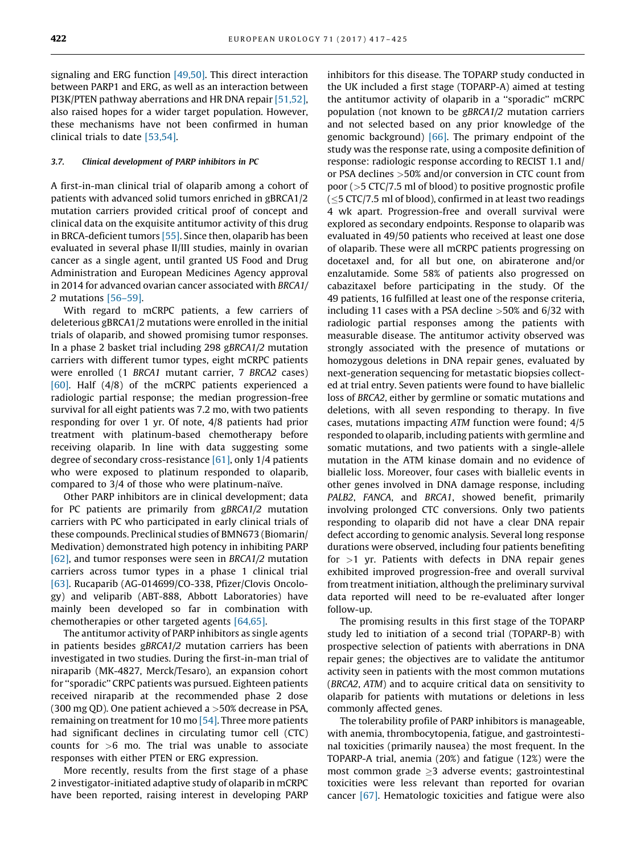signaling and ERG function [\[49,50\]](#page-8-0). This direct interaction between PARP1 and ERG, as well as an interaction between PI3K/PTEN pathway aberrations and HR DNA repair [\[51,52\]](#page-8-0), also raised hopes for a wider target population. However, these mechanisms have not been confirmed in human clinical trials to date [\[53,54\].](#page-8-0)

#### 3.7. Clinical development of PARP inhibitors in PC

A first-in-man clinical trial of olaparib among a cohort of patients with advanced solid tumors enriched in gBRCA1/2 mutation carriers provided critical proof of concept and clinical data on the exquisite antitumor activity of this drug in BRCA-deficient tumors [\[55\]](#page-8-0). Since then, olaparib has been evaluated in several phase II/III studies, mainly in ovarian cancer as a single agent, until granted US Food and Drug Administration and European Medicines Agency approval in 2014 for advanced ovarian cancer associated with BRCA1/ 2 mutations [\[56–59\].](#page-8-0)

With regard to mCRPC patients, a few carriers of deleterious gBRCA1/2 mutations were enrolled in the initial trials of olaparib, and showed promising tumor responses. In a phase 2 basket trial including 298 gBRCA1/2 mutation carriers with different tumor types, eight mCRPC patients were enrolled (1 BRCA1 mutant carrier, 7 BRCA2 cases) [\[60\].](#page-8-0) Half (4/8) of the mCRPC patients experienced a radiologic partial response; the median progression-free survival for all eight patients was 7.2 mo, with two patients responding for over 1 yr. Of note, 4/8 patients had prior treatment with platinum-based chemotherapy before receiving olaparib. In line with data suggesting some degree of secondary cross-resistance [\[61\],](#page-8-0) only 1/4 patients who were exposed to platinum responded to olaparib, compared to  $3/4$  of those who were platinum-naïve.

Other PARP inhibitors are in clinical development; data for PC patients are primarily from gBRCA1/2 mutation carriers with PC who participated in early clinical trials of these compounds. Preclinical studies of BMN673 (Biomarin/ Medivation) demonstrated high potency in inhibiting PARP [\[62\],](#page-8-0) and tumor responses were seen in BRCA1/2 mutation carriers across tumor types in a phase 1 clinical trial [\[63\].](#page-8-0) Rucaparib (AG-014699/CO-338, Pfizer/Clovis Oncology) and veliparib (ABT-888, Abbott Laboratories) have mainly been developed so far in combination with chemotherapies or other targeted agents [\[64,65\].](#page-8-0)

The antitumor activity of PARP inhibitors as single agents in patients besides gBRCA1/2 mutation carriers has been investigated in two studies. During the first-in-man trial of niraparib (MK-4827, Merck/Tesaro), an expansion cohort for ''sporadic'' CRPC patients was pursued. Eighteen patients received niraparib at the recommended phase 2 dose (300 mg QD). One patient achieved a >50% decrease in PSA, remaining on treatment for 10 mo [\[54\].](#page-8-0) Three more patients had significant declines in circulating tumor cell (CTC) counts for >6 mo. The trial was unable to associate responses with either PTEN or ERG expression.

More recently, results from the first stage of a phase 2 investigator-initiated adaptive study of olaparib in mCRPC have been reported, raising interest in developing PARP inhibitors for this disease. The TOPARP study conducted in the UK included a first stage (TOPARP-A) aimed at testing the antitumor activity of olaparib in a ''sporadic'' mCRPC population (not known to be gBRCA1/2 mutation carriers and not selected based on any prior knowledge of the genomic background) [\[66\]](#page-8-0). The primary endpoint of the study was the response rate, using a composite definition of response: radiologic response according to RECIST 1.1 and/ or PSA declines >50% and/or conversion in CTC count from poor (>5 CTC/7.5 ml of blood) to positive prognostic profile (<5 CTC/7.5 ml of blood), confirmed in at least two readings 4 wk apart. Progression-free and overall survival were explored as secondary endpoints. Response to olaparib was evaluated in 49/50 patients who received at least one dose of olaparib. These were all mCRPC patients progressing on docetaxel and, for all but one, on abiraterone and/or enzalutamide. Some 58% of patients also progressed on cabazitaxel before participating in the study. Of the 49 patients, 16 fulfilled at least one of the response criteria, including 11 cases with a PSA decline >50% and 6/32 with radiologic partial responses among the patients with measurable disease. The antitumor activity observed was strongly associated with the presence of mutations or homozygous deletions in DNA repair genes, evaluated by next-generation sequencing for metastatic biopsies collected at trial entry. Seven patients were found to have biallelic loss of BRCA2, either by germline or somatic mutations and deletions, with all seven responding to therapy. In five cases, mutations impacting ATM function were found; 4/5 responded to olaparib, including patients with germline and somatic mutations, and two patients with a single-allele mutation in the ATM kinase domain and no evidence of biallelic loss. Moreover, four cases with biallelic events in other genes involved in DNA damage response, including PALB2, FANCA, and BRCA1, showed benefit, primarily involving prolonged CTC conversions. Only two patients responding to olaparib did not have a clear DNA repair defect according to genomic analysis. Several long response durations were observed, including four patients benefiting for  $>1$  yr. Patients with defects in DNA repair genes exhibited improved progression-free and overall survival from treatment initiation, although the preliminary survival data reported will need to be re-evaluated after longer follow-up.

The promising results in this first stage of the TOPARP study led to initiation of a second trial (TOPARP-B) with prospective selection of patients with aberrations in DNA repair genes; the objectives are to validate the antitumor activity seen in patients with the most common mutations (BRCA2, ATM) and to acquire critical data on sensitivity to olaparib for patients with mutations or deletions in less commonly affected genes.

The tolerability profile of PARP inhibitors is manageable, with anemia, thrombocytopenia, fatigue, and gastrointestinal toxicities (primarily nausea) the most frequent. In the TOPARP-A trial, anemia (20%) and fatigue (12%) were the most common grade  $\geq$ 3 adverse events; gastrointestinal toxicities were less relevant than reported for ovarian cancer [\[67\]](#page-8-0). Hematologic toxicities and fatigue were also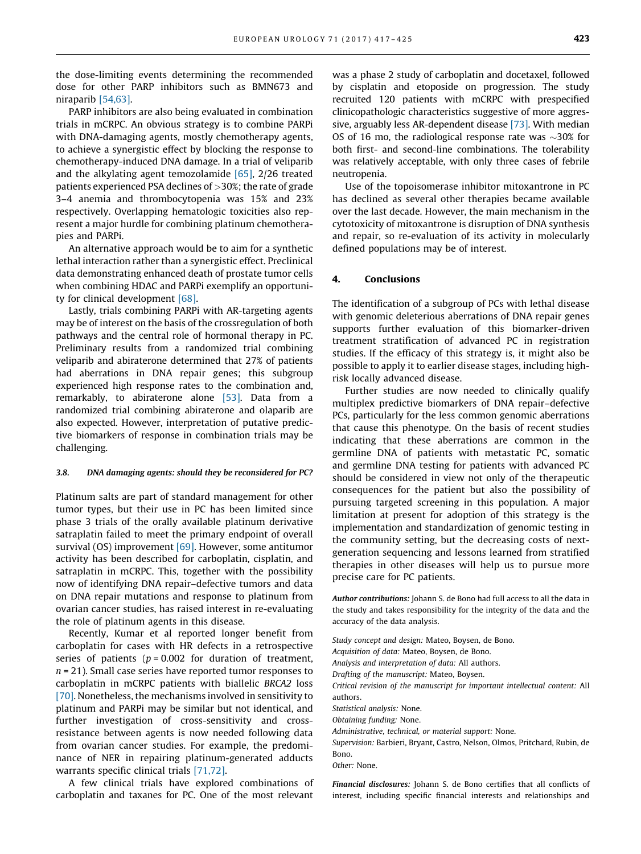the dose-limiting events determining the recommended dose for other PARP inhibitors such as BMN673 and niraparib [\[54,63\]](#page-8-0).

PARP inhibitors are also being evaluated in combination trials in mCRPC. An obvious strategy is to combine PARPi with DNA-damaging agents, mostly chemotherapy agents, to achieve a synergistic effect by blocking the response to chemotherapy-induced DNA damage. In a trial of veliparib and the alkylating agent temozolamide [\[65\],](#page-8-0) 2/26 treated patients experienced PSA declines of >30%; the rate of grade 3–4 anemia and thrombocytopenia was 15% and 23% respectively. Overlapping hematologic toxicities also represent a major hurdle for combining platinum chemotherapies and PARPi.

An alternative approach would be to aim for a synthetic lethal interaction rather than a synergistic effect. Preclinical data demonstrating enhanced death of prostate tumor cells when combining HDAC and PARPi exemplify an opportunity for clinical development [\[68\]](#page-8-0).

Lastly, trials combining PARPi with AR-targeting agents may be of interest on the basis of the crossregulation of both pathways and the central role of hormonal therapy in PC. Preliminary results from a randomized trial combining veliparib and abiraterone determined that 27% of patients had aberrations in DNA repair genes; this subgroup experienced high response rates to the combination and, remarkably, to abiraterone alone [\[53\]](#page-8-0). Data from a randomized trial combining abiraterone and olaparib are also expected. However, interpretation of putative predictive biomarkers of response in combination trials may be challenging.

#### 3.8. DNA damaging agents: should they be reconsidered for PC?

Platinum salts are part of standard management for other tumor types, but their use in PC has been limited since phase 3 trials of the orally available platinum derivative satraplatin failed to meet the primary endpoint of overall survival (OS) improvement [\[69\].](#page-8-0) However, some antitumor activity has been described for carboplatin, cisplatin, and satraplatin in mCRPC. This, together with the possibility now of identifying DNA repair–defective tumors and data on DNA repair mutations and response to platinum from ovarian cancer studies, has raised interest in re-evaluating the role of platinum agents in this disease.

Recently, Kumar et al reported longer benefit from carboplatin for cases with HR defects in a retrospective series of patients ( $p = 0.002$  for duration of treatment,  $n = 21$ ). Small case series have reported tumor responses to carboplatin in mCRPC patients with biallelic BRCA2 loss [\[70\]](#page-8-0). Nonetheless, the mechanisms involved in sensitivity to platinum and PARPi may be similar but not identical, and further investigation of cross-sensitivity and crossresistance between agents is now needed following data from ovarian cancer studies. For example, the predominance of NER in repairing platinum-generated adducts warrants specific clinical trials [\[71,72\]](#page-8-0).

A few clinical trials have explored combinations of carboplatin and taxanes for PC. One of the most relevant

was a phase 2 study of carboplatin and docetaxel, followed by cisplatin and etoposide on progression. The study recruited 120 patients with mCRPC with prespecified clinicopathologic characteristics suggestive of more aggressive, arguably less AR-dependent disease [\[73\].](#page-8-0) With median OS of 16 mo, the radiological response rate was  $\sim$ 30% for both first- and second-line combinations. The tolerability was relatively acceptable, with only three cases of febrile neutropenia.

Use of the topoisomerase inhibitor mitoxantrone in PC has declined as several other therapies became available over the last decade. However, the main mechanism in the cytotoxicity of mitoxantrone is disruption of DNA synthesis and repair, so re-evaluation of its activity in molecularly defined populations may be of interest.

#### 4. Conclusions

The identification of a subgroup of PCs with lethal disease with genomic deleterious aberrations of DNA repair genes supports further evaluation of this biomarker-driven treatment stratification of advanced PC in registration studies. If the efficacy of this strategy is, it might also be possible to apply it to earlier disease stages, including highrisk locally advanced disease.

Further studies are now needed to clinically qualify multiplex predictive biomarkers of DNA repair–defective PCs, particularly for the less common genomic aberrations that cause this phenotype. On the basis of recent studies indicating that these aberrations are common in the germline DNA of patients with metastatic PC, somatic and germline DNA testing for patients with advanced PC should be considered in view not only of the therapeutic consequences for the patient but also the possibility of pursuing targeted screening in this population. A major limitation at present for adoption of this strategy is the implementation and standardization of genomic testing in the community setting, but the decreasing costs of nextgeneration sequencing and lessons learned from stratified therapies in other diseases will help us to pursue more precise care for PC patients.

Author contributions: Johann S. de Bono had full access to all the data in the study and takes responsibility for the integrity of the data and the accuracy of the data analysis.

Study concept and design: Mateo, Boysen, de Bono.

Acquisition of data: Mateo, Boysen, de Bono.

Analysis and interpretation of data: All authors.

Drafting of the manuscript: Mateo, Boysen.

Critical revision of the manuscript for important intellectual content: All authors.

Statistical analysis: None.

Obtaining funding: None.

Administrative, technical, or material support: None.

Supervision: Barbieri, Bryant, Castro, Nelson, Olmos, Pritchard, Rubin, de Bono.

Other: None.

Financial disclosures: Johann S. de Bono certifies that all conflicts of interest, including specific financial interests and relationships and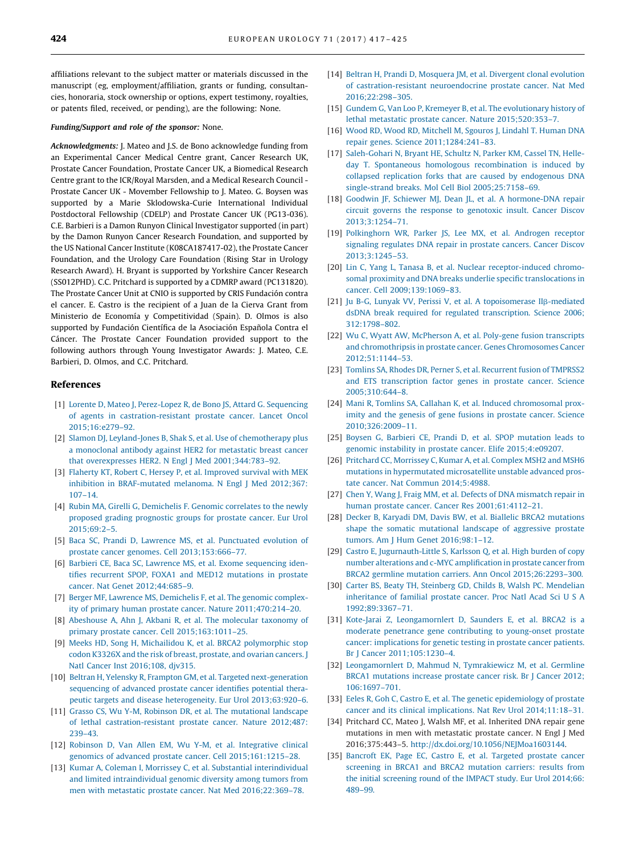<span id="page-7-0"></span>affiliations relevant to the subject matter or materials discussed in the manuscript (eg, employment/affiliation, grants or funding, consultancies, honoraria, stock ownership or options, expert testimony, royalties, or patents filed, received, or pending), are the following: None.

#### Funding/Support and role of the sponsor: None.

Acknowledgments: J. Mateo and J.S. de Bono acknowledge funding from an Experimental Cancer Medical Centre grant, Cancer Research UK, Prostate Cancer Foundation, Prostate Cancer UK, a Biomedical Research Centre grant to the ICR/Royal Marsden, and a Medical Research Council - Prostate Cancer UK - Movember Fellowship to J. Mateo. G. Boysen was supported by a Marie Sklodowska-Curie International Individual Postdoctoral Fellowship (CDELP) and Prostate Cancer UK (PG13-036). C.E. Barbieri is a Damon Runyon Clinical Investigator supported (in part) by the Damon Runyon Cancer Research Foundation, and supported by the US National Cancer Institute (K08CA187417-02), the Prostate Cancer Foundation, and the Urology Care Foundation (Rising Star in Urology Research Award). H. Bryant is supported by Yorkshire Cancer Research (SS012PHD). C.C. Pritchard is supported by a CDMRP award (PC131820). The Prostate Cancer Unit at CNIO is supported by CRIS Fundación contra el cancer. E. Castro is the recipient of a Juan de la Cierva Grant from Ministerio de Economía y Competitividad (Spain). D. Olmos is also supported by Fundación Científica de la Asociación Española Contra el Cáncer. The Prostate Cancer Foundation provided support to the following authors through Young Investigator Awards: J. Mateo, C.E. Barbieri, D. Olmos, and C.C. Pritchard.

#### References

- [1] [Lorente D, Mateo J, Perez-Lopez R, de Bono JS, Attard G. Sequencing](http://refhub.elsevier.com/S0302-2838(16)30504-8/sbref0370) [of agents in castration-resistant prostate cancer. Lancet Oncol](http://refhub.elsevier.com/S0302-2838(16)30504-8/sbref0370) [2015;16:e279–92.](http://refhub.elsevier.com/S0302-2838(16)30504-8/sbref0370)
- [2] [Slamon DJ, Leyland-Jones B, Shak S, et al. Use of chemotherapy plus](http://refhub.elsevier.com/S0302-2838(16)30504-8/sbref0375) [a monoclonal antibody against HER2 for metastatic breast cancer](http://refhub.elsevier.com/S0302-2838(16)30504-8/sbref0375) [that overexpresses HER2. N Engl J Med 2001;344:783–92.](http://refhub.elsevier.com/S0302-2838(16)30504-8/sbref0375)
- [3] [Flaherty KT, Robert C, Hersey P, et al. Improved survival with MEK](http://refhub.elsevier.com/S0302-2838(16)30504-8/sbref0380) [inhibition in BRAF-mutated melanoma. N Engl J Med 2012;367:](http://refhub.elsevier.com/S0302-2838(16)30504-8/sbref0380) [107–14](http://refhub.elsevier.com/S0302-2838(16)30504-8/sbref0380).
- [4] [Rubin MA, Girelli G, Demichelis F. Genomic correlates to the newly](http://refhub.elsevier.com/S0302-2838(16)30504-8/sbref0385) [proposed grading prognostic groups for prostate cancer. Eur Urol](http://refhub.elsevier.com/S0302-2838(16)30504-8/sbref0385) [2015;69:2–5](http://refhub.elsevier.com/S0302-2838(16)30504-8/sbref0385).
- [5] [Baca SC, Prandi D, Lawrence MS, et al. Punctuated evolution of](http://refhub.elsevier.com/S0302-2838(16)30504-8/sbref0390) [prostate cancer genomes. Cell 2013;153:666–77.](http://refhub.elsevier.com/S0302-2838(16)30504-8/sbref0390)
- [6] [Barbieri CE, Baca SC, Lawrence MS, et al. Exome sequencing iden](http://refhub.elsevier.com/S0302-2838(16)30504-8/sbref0395)[tifies recurrent SPOP, FOXA1 and MED12 mutations in prostate](http://refhub.elsevier.com/S0302-2838(16)30504-8/sbref0395) [cancer. Nat Genet 2012;44:685–9](http://refhub.elsevier.com/S0302-2838(16)30504-8/sbref0395).
- [7] [Berger MF, Lawrence MS, Demichelis F, et al. The genomic complex](http://refhub.elsevier.com/S0302-2838(16)30504-8/sbref0400)[ity of primary human prostate cancer. Nature 2011;470:214–20](http://refhub.elsevier.com/S0302-2838(16)30504-8/sbref0400).
- [8] [Abeshouse A, Ahn J, Akbani R, et al. The molecular taxonomy of](http://refhub.elsevier.com/S0302-2838(16)30504-8/sbref0405) [primary prostate cancer. Cell 2015;163:1011–25.](http://refhub.elsevier.com/S0302-2838(16)30504-8/sbref0405)
- [9] [Meeks HD, Song H, Michailidou K, et al. BRCA2 polymorphic stop](http://refhub.elsevier.com/S0302-2838(16)30504-8/sbref0410) [codon K3326X and the risk of breast, prostate, and ovarian cancers. J](http://refhub.elsevier.com/S0302-2838(16)30504-8/sbref0410) [Natl Cancer Inst 2016;108, djv315](http://refhub.elsevier.com/S0302-2838(16)30504-8/sbref0410).
- [10] [Beltran H, Yelensky R, Frampton GM, et al. Targeted next-generation](http://refhub.elsevier.com/S0302-2838(16)30504-8/sbref0415) [sequencing of advanced prostate cancer identifies potential thera](http://refhub.elsevier.com/S0302-2838(16)30504-8/sbref0415)[peutic targets and disease heterogeneity. Eur Urol 2013;63:920–6.](http://refhub.elsevier.com/S0302-2838(16)30504-8/sbref0415)
- [11] [Grasso CS, Wu Y-M, Robinson DR, et al. The mutational landscape](http://refhub.elsevier.com/S0302-2838(16)30504-8/sbref0420) [of lethal castration-resistant prostate cancer. Nature 2012;487:](http://refhub.elsevier.com/S0302-2838(16)30504-8/sbref0420) [239–43.](http://refhub.elsevier.com/S0302-2838(16)30504-8/sbref0420)
- [12] [Robinson D, Van Allen EM, Wu Y-M, et al. Integrative clinical](http://refhub.elsevier.com/S0302-2838(16)30504-8/sbref0425) [genomics of advanced prostate cancer. Cell 2015;161:1215–28](http://refhub.elsevier.com/S0302-2838(16)30504-8/sbref0425).
- [13] [Kumar A, Coleman I, Morrissey C, et al. Substantial interindividual](http://refhub.elsevier.com/S0302-2838(16)30504-8/sbref0430) [and limited intraindividual genomic diversity among tumors from](http://refhub.elsevier.com/S0302-2838(16)30504-8/sbref0430) [men with metastatic prostate cancer. Nat Med 2016;22:369–78.](http://refhub.elsevier.com/S0302-2838(16)30504-8/sbref0430)
- [14] [Beltran H, Prandi D, Mosquera JM, et al. Divergent clonal evolution](http://refhub.elsevier.com/S0302-2838(16)30504-8/sbref0435) [of castration-resistant neuroendocrine prostate cancer. Nat Med](http://refhub.elsevier.com/S0302-2838(16)30504-8/sbref0435) [2016;22:298–305.](http://refhub.elsevier.com/S0302-2838(16)30504-8/sbref0435)
- [15] [Gundem G, Van Loo P, Kremeyer B, et al. The evolutionary history of](http://refhub.elsevier.com/S0302-2838(16)30504-8/sbref0440) [lethal metastatic prostate cancer. Nature 2015;520:353–7.](http://refhub.elsevier.com/S0302-2838(16)30504-8/sbref0440)
- [16] [Wood RD, Wood RD, Mitchell M, Sgouros J, Lindahl T. Human DNA](http://refhub.elsevier.com/S0302-2838(16)30504-8/sbref0445) [repair genes. Science 2011;1284:241–83.](http://refhub.elsevier.com/S0302-2838(16)30504-8/sbref0445)
- [17] [Saleh-Gohari N, Bryant HE, Schultz N, Parker KM, Cassel TN, Helle](http://refhub.elsevier.com/S0302-2838(16)30504-8/sbref0450)[day T. Spontaneous homologous recombination is induced by](http://refhub.elsevier.com/S0302-2838(16)30504-8/sbref0450) [collapsed replication forks that are caused by endogenous DNA](http://refhub.elsevier.com/S0302-2838(16)30504-8/sbref0450) [single-strand breaks. Mol Cell Biol 2005;25:7158–69](http://refhub.elsevier.com/S0302-2838(16)30504-8/sbref0450).
- [18] [Goodwin JF, Schiewer MJ, Dean JL, et al. A hormone-DNA repair](http://refhub.elsevier.com/S0302-2838(16)30504-8/sbref0455) [circuit governs the response to genotoxic insult. Cancer Discov](http://refhub.elsevier.com/S0302-2838(16)30504-8/sbref0455) [2013;3:1254–71.](http://refhub.elsevier.com/S0302-2838(16)30504-8/sbref0455)
- [19] [Polkinghorn WR, Parker JS, Lee MX, et al. Androgen receptor](http://refhub.elsevier.com/S0302-2838(16)30504-8/sbref0460) [signaling regulates DNA repair in prostate cancers. Cancer Discov](http://refhub.elsevier.com/S0302-2838(16)30504-8/sbref0460) [2013;3:1245–53.](http://refhub.elsevier.com/S0302-2838(16)30504-8/sbref0460)
- [20] [Lin C, Yang L, Tanasa B, et al. Nuclear receptor-induced chromo](http://refhub.elsevier.com/S0302-2838(16)30504-8/sbref0465)[somal proximity and DNA breaks underlie specific translocations in](http://refhub.elsevier.com/S0302-2838(16)30504-8/sbref0465) [cancer. Cell 2009;139:1069–83.](http://refhub.elsevier.com/S0302-2838(16)30504-8/sbref0465)
- [21] [Ju B-G, Lunyak VV, Perissi V, et al. A topoisomerase II](http://refhub.elsevier.com/S0302-2838(16)30504-8/sbref0470)b-mediated [dsDNA break required for regulated transcription. Science 2006;](http://refhub.elsevier.com/S0302-2838(16)30504-8/sbref0470) [312:1798–802](http://refhub.elsevier.com/S0302-2838(16)30504-8/sbref0470).
- [22] [Wu C, Wyatt AW, McPherson A, et al. Poly-gene fusion transcripts](http://refhub.elsevier.com/S0302-2838(16)30504-8/sbref0475) [and chromothripsis in prostate cancer. Genes Chromosomes Cancer](http://refhub.elsevier.com/S0302-2838(16)30504-8/sbref0475) [2012;51:1144–53.](http://refhub.elsevier.com/S0302-2838(16)30504-8/sbref0475)
- [23] [Tomlins SA, Rhodes DR, Perner S, et al. Recurrent fusion of TMPRSS2](http://refhub.elsevier.com/S0302-2838(16)30504-8/sbref0480) [and ETS transcription factor genes in prostate cancer. Science](http://refhub.elsevier.com/S0302-2838(16)30504-8/sbref0480) [2005;310:644–8](http://refhub.elsevier.com/S0302-2838(16)30504-8/sbref0480).
- [24] [Mani R, Tomlins SA, Callahan K, et al. Induced chromosomal prox](http://refhub.elsevier.com/S0302-2838(16)30504-8/sbref0485)[imity and the genesis of gene fusions in prostate cancer. Science](http://refhub.elsevier.com/S0302-2838(16)30504-8/sbref0485) [2010;326:2009–11.](http://refhub.elsevier.com/S0302-2838(16)30504-8/sbref0485)
- [25] [Boysen G, Barbieri CE, Prandi D, et al. SPOP mutation leads to](http://refhub.elsevier.com/S0302-2838(16)30504-8/sbref0490) [genomic instability in prostate cancer. Elife 2015;4:e09207](http://refhub.elsevier.com/S0302-2838(16)30504-8/sbref0490).
- [26] [Pritchard CC, Morrissey C, Kumar A, et al. Complex MSH2 and MSH6](http://refhub.elsevier.com/S0302-2838(16)30504-8/sbref0495) [mutations in hypermutated microsatellite unstable advanced pros](http://refhub.elsevier.com/S0302-2838(16)30504-8/sbref0495)[tate cancer. Nat Commun 2014;5:4988.](http://refhub.elsevier.com/S0302-2838(16)30504-8/sbref0495)
- [27] [Chen Y, Wang J, Fraig MM, et al. Defects of DNA mismatch repair in](http://refhub.elsevier.com/S0302-2838(16)30504-8/sbref0500) [human prostate cancer. Cancer Res 2001;61:4112–21.](http://refhub.elsevier.com/S0302-2838(16)30504-8/sbref0500)
- [28] [Decker B, Karyadi DM, Davis BW, et al. Biallelic BRCA2 mutations](http://refhub.elsevier.com/S0302-2838(16)30504-8/sbref0505) [shape the somatic mutational landscape of aggressive prostate](http://refhub.elsevier.com/S0302-2838(16)30504-8/sbref0505) [tumors. Am J Hum Genet 2016;98:1–12](http://refhub.elsevier.com/S0302-2838(16)30504-8/sbref0505).
- [29] [Castro E, Jugurnauth-Little S, Karlsson Q, et al. High burden of copy](http://refhub.elsevier.com/S0302-2838(16)30504-8/sbref0510) [number alterations and c-MYC amplification in prostate cancer from](http://refhub.elsevier.com/S0302-2838(16)30504-8/sbref0510) [BRCA2 germline mutation carriers. Ann Oncol 2015;26:2293–300](http://refhub.elsevier.com/S0302-2838(16)30504-8/sbref0510).
- [30] [Carter BS, Beaty TH, Steinberg GD, Childs B, Walsh PC. Mendelian](http://refhub.elsevier.com/S0302-2838(16)30504-8/sbref0515) [inheritance of familial prostate cancer. Proc Natl Acad Sci U S A](http://refhub.elsevier.com/S0302-2838(16)30504-8/sbref0515) [1992;89:3367–71.](http://refhub.elsevier.com/S0302-2838(16)30504-8/sbref0515)
- [31] [Kote-Jarai Z, Leongamornlert D, Saunders E, et al. BRCA2 is a](http://refhub.elsevier.com/S0302-2838(16)30504-8/sbref0520) [moderate penetrance gene contributing to young-onset prostate](http://refhub.elsevier.com/S0302-2838(16)30504-8/sbref0520) [cancer: implications for genetic testing in prostate cancer patients.](http://refhub.elsevier.com/S0302-2838(16)30504-8/sbref0520) [Br J Cancer 2011;105:1230–4](http://refhub.elsevier.com/S0302-2838(16)30504-8/sbref0520).
- [32] [Leongamornlert D, Mahmud N, Tymrakiewicz M, et al. Germline](http://refhub.elsevier.com/S0302-2838(16)30504-8/sbref0525) [BRCA1 mutations increase prostate cancer risk. Br J Cancer 2012;](http://refhub.elsevier.com/S0302-2838(16)30504-8/sbref0525) [106:1697–701.](http://refhub.elsevier.com/S0302-2838(16)30504-8/sbref0525)
- [33] [Eeles R, Goh C, Castro E, et al. The genetic epidemiology of prostate](http://refhub.elsevier.com/S0302-2838(16)30504-8/sbref0530) [cancer and its clinical implications. Nat Rev Urol 2014;11:18–31.](http://refhub.elsevier.com/S0302-2838(16)30504-8/sbref0530)
- [34] Pritchard CC, Mateo J, Walsh MF, et al. Inherited DNA repair gene mutations in men with metastatic prostate cancer. N Engl J Med 2016;375:443–5. <http://dx.doi.org/10.1056/NEJMoa1603144>.
- [35] [Bancroft EK, Page EC, Castro E, et al. Targeted prostate cancer](http://refhub.elsevier.com/S0302-2838(16)30504-8/sbref0540) [screening in BRCA1 and BRCA2 mutation carriers: results from](http://refhub.elsevier.com/S0302-2838(16)30504-8/sbref0540) [the initial screening round of the IMPACT study. Eur Urol 2014;66:](http://refhub.elsevier.com/S0302-2838(16)30504-8/sbref0540) [489–99.](http://refhub.elsevier.com/S0302-2838(16)30504-8/sbref0540)